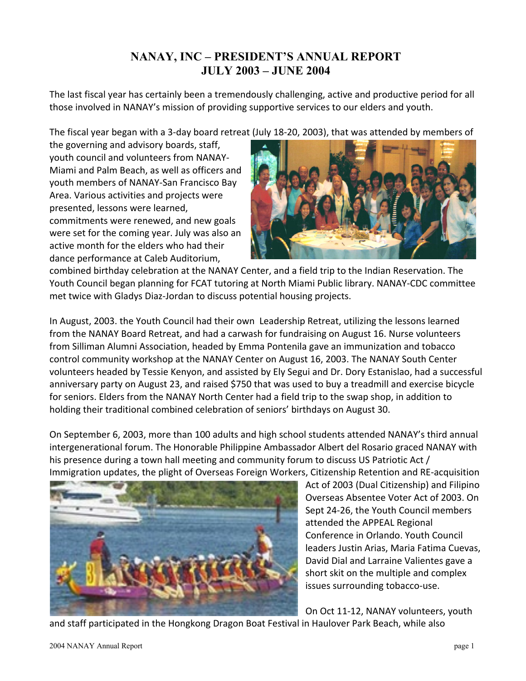# **NANAY, INC – PRESIDENT'S ANNUAL REPORT JULY 2003 – JUNE 2004**

The last fiscal year has certainly been a tremendously challenging, active and productive period for all those involved in NANAY's mission of providing supportive services to our elders and youth.

The fiscal year began with a 3-day board retreat (July 18-20, 2003), that was attended by members of

the governing and advisory boards, staff, youth council and volunteers from NANAY-Miami and Palm Beach, as well as officers and youth members of NANAY-San Francisco Bay Area. Various activities and projects were presented, lessons were learned, commitments were renewed, and new goals were set for the coming year. July was also an active month for the elders who had their dance performance at Caleb Auditorium,



combined birthday celebration at the NANAY Center, and a field trip to the Indian Reservation. The Youth Council began planning for FCAT tutoring at North Miami Public library. NANAY-CDC committee met twice with Gladys Diaz-Jordan to discuss potential housing projects.

In August, 2003. the Youth Council had their own Leadership Retreat, utilizing the lessons learned from the NANAY Board Retreat, and had a carwash for fundraising on August 16. Nurse volunteers from Silliman Alumni Association, headed by Emma Pontenila gave an immunization and tobacco control community workshop at the NANAY Center on August 16, 2003. The NANAY South Center volunteers headed by Tessie Kenyon, and assisted by Ely Segui and Dr. Dory Estanislao, had a successful anniversary party on August 23, and raised \$750 that was used to buy a treadmill and exercise bicycle for seniors. Elders from the NANAY North Center had a field trip to the swap shop, in addition to holding their traditional combined celebration of seniors' birthdays on August 30.

On September 6, 2003, more than 100 adults and high school students attended NANAY's third annual intergenerational forum. The Honorable Philippine Ambassador Albert del Rosario graced NANAY with his presence during a town hall meeting and community forum to discuss US Patriotic Act / Immigration updates, the plight of Overseas Foreign Workers, Citizenship Retention and RE-acquisition



Act of 2003 (Dual Citizenship) and Filipino Overseas Absentee Voter Act of 2003. On Sept 24-26, the Youth Council members attended the APPEAL Regional Conference in Orlando. Youth Council leaders Justin Arias, Maria Fatima Cuevas, David Dial and Larraine Valientes gave a short skit on the multiple and complex issues surrounding tobacco-use.

On Oct 11-12, NANAY volunteers, youth

and staff participated in the Hongkong Dragon Boat Festival in Haulover Park Beach, while also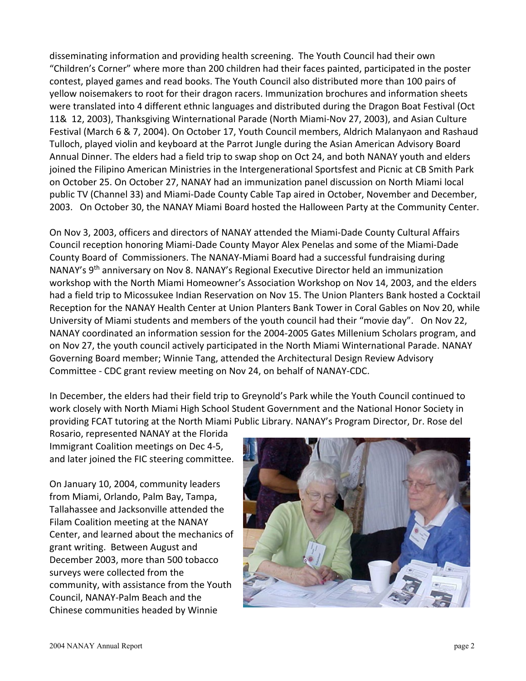disseminating information and providing health screening. The Youth Council had their own "Children's Corner" where more than 200 children had their faces painted, participated in the poster contest, played games and read books. The Youth Council also distributed more than 100 pairs of yellow noisemakers to root for their dragon racers. Immunization brochures and information sheets were translated into 4 different ethnic languages and distributed during the Dragon Boat Festival (Oct 11& 12, 2003), Thanksgiving Winternational Parade (North Miami-Nov 27, 2003), and Asian Culture Festival (March 6 & 7, 2004). On October 17, Youth Council members, Aldrich Malanyaon and Rashaud Tulloch, played violin and keyboard at the Parrot Jungle during the Asian American Advisory Board Annual Dinner. The elders had a field trip to swap shop on Oct 24, and both NANAY youth and elders joined the Filipino American Ministries in the Intergenerational Sportsfest and Picnic at CB Smith Park on October 25. On October 27, NANAY had an immunization panel discussion on North Miami local public TV (Channel 33) and Miami-Dade County Cable Tap aired in October, November and December, 2003. On October 30, the NANAY Miami Board hosted the Halloween Party at the Community Center.

On Nov 3, 2003, officers and directors of NANAY attended the Miami-Dade County Cultural Affairs Council reception honoring Miami-Dade County Mayor Alex Penelas and some of the Miami-Dade County Board of Commissioners. The NANAY-Miami Board had a successful fundraising during NANAY's 9th anniversary on Nov 8. NANAY's Regional Executive Director held an immunization workshop with the North Miami Homeowner's Association Workshop on Nov 14, 2003, and the elders had a field trip to Micossukee Indian Reservation on Nov 15. The Union Planters Bank hosted a Cocktail Reception for the NANAY Health Center at Union Planters Bank Tower in Coral Gables on Nov 20, while University of Miami students and members of the youth council had their "movie day". On Nov 22, NANAY coordinated an information session for the 2004-2005 Gates Millenium Scholars program, and on Nov 27, the youth council actively participated in the North Miami Winternational Parade. NANAY Governing Board member; Winnie Tang, attended the Architectural Design Review Advisory Committee - CDC grant review meeting on Nov 24, on behalf of NANAY-CDC.

In December, the elders had their field trip to Greynold's Park while the Youth Council continued to work closely with North Miami High School Student Government and the National Honor Society in providing FCAT tutoring at the North Miami Public Library. NANAY's Program Director, Dr. Rose del

Rosario, represented NANAY at the Florida Immigrant Coalition meetings on Dec 4-5, and later joined the FIC steering committee.

On January 10, 2004, community leaders from Miami, Orlando, Palm Bay, Tampa, Tallahassee and Jacksonville attended the Filam Coalition meeting at the NANAY Center, and learned about the mechanics of grant writing. Between August and December 2003, more than 500 tobacco surveys were collected from the community, with assistance from the Youth Council, NANAY-Palm Beach and the Chinese communities headed by Winnie

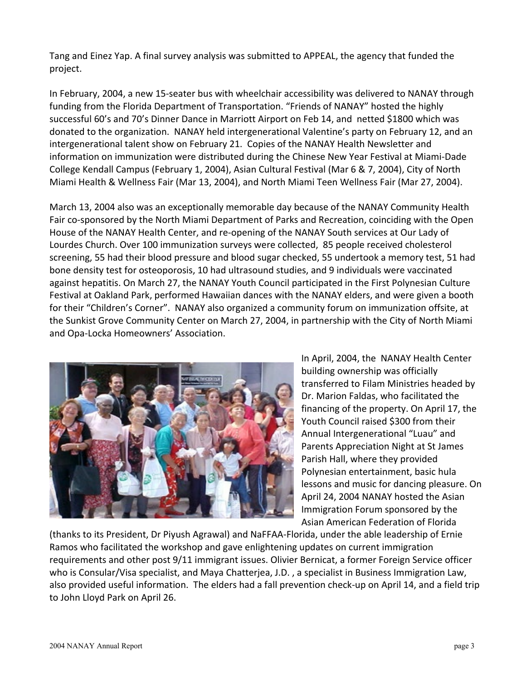Tang and Einez Yap. A final survey analysis was submitted to APPEAL, the agency that funded the project.

In February, 2004, a new 15-seater bus with wheelchair accessibility was delivered to NANAY through funding from the Florida Department of Transportation. "Friends of NANAY" hosted the highly successful 60's and 70's Dinner Dance in Marriott Airport on Feb 14, and netted \$1800 which was donated to the organization. NANAY held intergenerational Valentine's party on February 12, and an intergenerational talent show on February 21. Copies of the NANAY Health Newsletter and information on immunization were distributed during the Chinese New Year Festival at Miami-Dade College Kendall Campus (February 1, 2004), Asian Cultural Festival (Mar 6 & 7, 2004), City of North Miami Health & Wellness Fair (Mar 13, 2004), and North Miami Teen Wellness Fair (Mar 27, 2004).

March 13, 2004 also was an exceptionally memorable day because of the NANAY Community Health Fair co-sponsored by the North Miami Department of Parks and Recreation, coinciding with the Open House of the NANAY Health Center, and re-opening of the NANAY South services at Our Lady of Lourdes Church. Over 100 immunization surveys were collected, 85 people received cholesterol screening, 55 had their blood pressure and blood sugar checked, 55 undertook a memory test, 51 had bone density test for osteoporosis, 10 had ultrasound studies, and 9 individuals were vaccinated against hepatitis. On March 27, the NANAY Youth Council participated in the First Polynesian Culture Festival at Oakland Park, performed Hawaiian dances with the NANAY elders, and were given a booth for their "Children's Corner". NANAY also organized a community forum on immunization offsite, at the Sunkist Grove Community Center on March 27, 2004, in partnership with the City of North Miami and Opa-Locka Homeowners' Association.



In April, 2004, the NANAY Health Center building ownership was officially transferred to Filam Ministries headed by Dr. Marion Faldas, who facilitated the financing of the property. On April 17, the Youth Council raised \$300 from their Annual Intergenerational "Luau" and Parents Appreciation Night at St James Parish Hall, where they provided Polynesian entertainment, basic hula lessons and music for dancing pleasure. On April 24, 2004 NANAY hosted the Asian Immigration Forum sponsored by the Asian American Federation of Florida

(thanks to its President, Dr Piyush Agrawal) and NaFFAA-Florida, under the able leadership of Ernie Ramos who facilitated the workshop and gave enlightening updates on current immigration requirements and other post 9/11 immigrant issues. Olivier Bernicat, a former Foreign Service officer who is Consular/Visa specialist, and Maya Chatterjea, J.D. , a specialist in Business Immigration Law, also provided useful information. The elders had a fall prevention check-up on April 14, and a field trip to John Lloyd Park on April 26.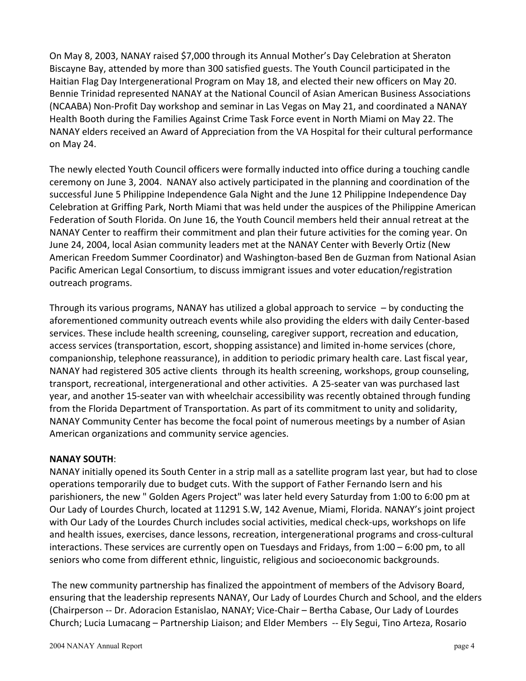On May 8, 2003, NANAY raised \$7,000 through its Annual Mother's Day Celebration at Sheraton Biscayne Bay, attended by more than 300 satisfied guests. The Youth Council participated in the Haitian Flag Day Intergenerational Program on May 18, and elected their new officers on May 20. Bennie Trinidad represented NANAY at the National Council of Asian American Business Associations (NCAABA) Non-Profit Day workshop and seminar in Las Vegas on May 21, and coordinated a NANAY Health Booth during the Families Against Crime Task Force event in North Miami on May 22. The NANAY elders received an Award of Appreciation from the VA Hospital for their cultural performance on May 24.

The newly elected Youth Council officers were formally inducted into office during a touching candle ceremony on June 3, 2004. NANAY also actively participated in the planning and coordination of the successful June 5 Philippine Independence Gala Night and the June 12 Philippine Independence Day Celebration at Griffing Park, North Miami that was held under the auspices of the Philippine American Federation of South Florida. On June 16, the Youth Council members held their annual retreat at the NANAY Center to reaffirm their commitment and plan their future activities for the coming year. On June 24, 2004, local Asian community leaders met at the NANAY Center with Beverly Ortiz (New American Freedom Summer Coordinator) and Washington-based Ben de Guzman from National Asian Pacific American Legal Consortium, to discuss immigrant issues and voter education/registration outreach programs.

Through its various programs, NANAY has utilized a global approach to service  $-$  by conducting the aforementioned community outreach events while also providing the elders with daily Center-based services. These include health screening, counseling, caregiver support, recreation and education, access services (transportation, escort, shopping assistance) and limited in-home services (chore, companionship, telephone reassurance), in addition to periodic primary health care. Last fiscal year, NANAY had registered 305 active clients through its health screening, workshops, group counseling, transport, recreational, intergenerational and other activities. A 25-seater van was purchased last year, and another 15-seater van with wheelchair accessibility was recently obtained through funding from the Florida Department of Transportation. As part of its commitment to unity and solidarity, NANAY Community Center has become the focal point of numerous meetings by a number of Asian American organizations and community service agencies.

#### **NANAY SOUTH**:

NANAY initially opened its South Center in a strip mall as a satellite program last year, but had to close operations temporarily due to budget cuts. With the support of Father Fernando Isern and his parishioners, the new " Golden Agers Project" was later held every Saturday from 1:00 to 6:00 pm at Our Lady of Lourdes Church, located at 11291 S.W, 142 Avenue, Miami, Florida. NANAY's joint project with Our Lady of the Lourdes Church includes social activities, medical check-ups, workshops on life and health issues, exercises, dance lessons, recreation, intergenerational programs and cross-cultural interactions. These services are currently open on Tuesdays and Fridays, from 1:00 – 6:00 pm, to all seniors who come from different ethnic, linguistic, religious and socioeconomic backgrounds.

The new community partnership has finalized the appointment of members of the Advisory Board, ensuring that the leadership represents NANAY, Our Lady of Lourdes Church and School, and the elders (Chairperson -- Dr. Adoracion Estanislao, NANAY; Vice-Chair – Bertha Cabase, Our Lady of Lourdes Church; Lucia Lumacang – Partnership Liaison; and Elder Members -- Ely Segui, Tino Arteza, Rosario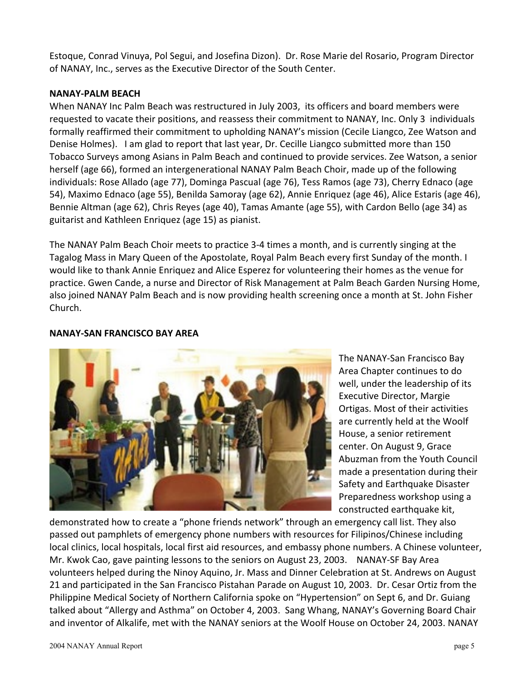Estoque, Conrad Vinuya, Pol Segui, and Josefina Dizon). Dr. Rose Marie del Rosario, Program Director of NANAY, Inc., serves as the Executive Director of the South Center.

#### **NANAY-PALM BEACH**

When NANAY Inc Palm Beach was restructured in July 2003, its officers and board members were requested to vacate their positions, and reassess their commitment to NANAY, Inc. Only 3 individuals formally reaffirmed their commitment to upholding NANAY's mission (Cecile Liangco, Zee Watson and Denise Holmes). I am glad to report that last year, Dr. Cecille Liangco submitted more than 150 Tobacco Surveys among Asians in Palm Beach and continued to provide services. Zee Watson, a senior herself (age 66), formed an intergenerational NANAY Palm Beach Choir, made up of the following individuals: Rose Allado (age 77), Dominga Pascual (age 76), Tess Ramos (age 73), Cherry Ednaco (age 54), Maximo Ednaco (age 55), Benilda Samoray (age 62), Annie Enriquez (age 46), Alice Estaris (age 46), Bennie Altman (age 62), Chris Reyes (age 40), Tamas Amante (age 55), with Cardon Bello (age 34) as guitarist and Kathleen Enriquez (age 15) as pianist.

The NANAY Palm Beach Choir meets to practice 3-4 times a month, and is currently singing at the Tagalog Mass in Mary Queen of the Apostolate, Royal Palm Beach every first Sunday of the month. I would like to thank Annie Enriquez and Alice Esperez for volunteering their homes as the venue for practice. Gwen Cande, a nurse and Director of Risk Management at Palm Beach Garden Nursing Home, also joined NANAY Palm Beach and is now providing health screening once a month at St. John Fisher Church.

### **NANAY-SAN FRANCISCO BAY AREA**



The NANAY-San Francisco Bay Area Chapter continues to do well, under the leadership of its Executive Director, Margie Ortigas. Most of their activities are currently held at the Woolf House, a senior retirement center. On August 9, Grace Abuzman from the Youth Council made a presentation during their Safety and Earthquake Disaster Preparedness workshop using a constructed earthquake kit,

demonstrated how to create a "phone friends network" through an emergency call list. They also passed out pamphlets of emergency phone numbers with resources for Filipinos/Chinese including local clinics, local hospitals, local first aid resources, and embassy phone numbers. A Chinese volunteer, Mr. Kwok Cao, gave painting lessons to the seniors on August 23, 2003. NANAY-SF Bay Area volunteers helped during the Ninoy Aquino, Jr. Mass and Dinner Celebration at St. Andrews on August 21 and participated in the San Francisco Pistahan Parade on August 10, 2003. Dr. Cesar Ortiz from the Philippine Medical Society of Northern California spoke on "Hypertension" on Sept 6, and Dr. Guiang talked about "Allergy and Asthma" on October 4, 2003. Sang Whang, NANAY's Governing Board Chair and inventor of Alkalife, met with the NANAY seniors at the Woolf House on October 24, 2003. NANAY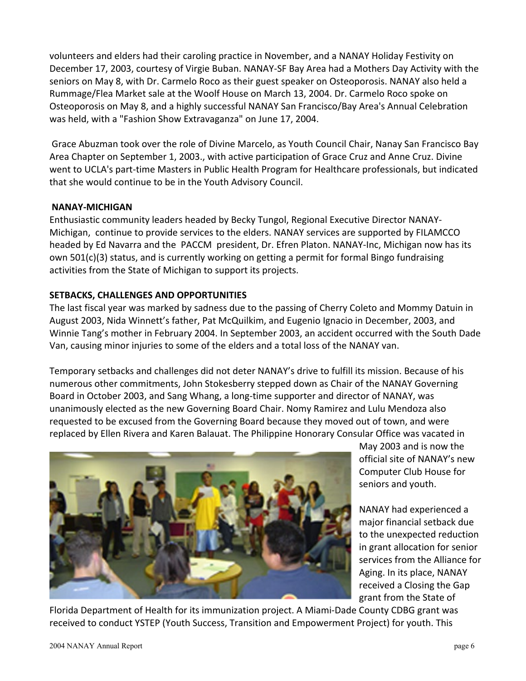volunteers and elders had their caroling practice in November, and a NANAY Holiday Festivity on December 17, 2003, courtesy of Virgie Buban. NANAY-SF Bay Area had a Mothers Day Activity with the seniors on May 8, with Dr. Carmelo Roco as their guest speaker on Osteoporosis. NANAY also held a Rummage/Flea Market sale at the Woolf House on March 13, 2004. Dr. Carmelo Roco spoke on Osteoporosis on May 8, and a highly successful NANAY San Francisco/Bay Area's Annual Celebration was held, with a "Fashion Show Extravaganza" on June 17, 2004.

Grace Abuzman took over the role of Divine Marcelo, as Youth Council Chair, Nanay San Francisco Bay Area Chapter on September 1, 2003., with active participation of Grace Cruz and Anne Cruz. Divine went to UCLA's part-time Masters in Public Health Program for Healthcare professionals, but indicated that she would continue to be in the Youth Advisory Council.

#### **NANAY-MICHIGAN**

Enthusiastic community leaders headed by Becky Tungol, Regional Executive Director NANAY-Michigan, continue to provide services to the elders. NANAY services are supported by FILAMCCO headed by Ed Navarra and the PACCM president, Dr. Efren Platon. NANAY-Inc, Michigan now has its own 501(c)(3) status, and is currently working on getting a permit for formal Bingo fundraising activities from the State of Michigan to support its projects.

# **SETBACKS, CHALLENGES AND OPPORTUNITIES**

The last fiscal year was marked by sadness due to the passing of Cherry Coleto and Mommy Datuin in August 2003, Nida Winnett's father, Pat McQuilkim, and Eugenio Ignacio in December, 2003, and Winnie Tang's mother in February 2004. In September 2003, an accident occurred with the South Dade Van, causing minor injuries to some of the elders and a total loss of the NANAY van.

Temporary setbacks and challenges did not deter NANAY's drive to fulfill its mission. Because of his numerous other commitments, John Stokesberry stepped down as Chair of the NANAY Governing Board in October 2003, and Sang Whang, a long-time supporter and director of NANAY, was unanimously elected as the new Governing Board Chair. Nomy Ramirez and Lulu Mendoza also requested to be excused from the Governing Board because they moved out of town, and were replaced by Ellen Rivera and Karen Balauat. The Philippine Honorary Consular Office was vacated in



May 2003 and is now the official site of NANAY's new Computer Club House for seniors and youth.

NANAY had experienced a major financial setback due to the unexpected reduction in grant allocation for senior services from the Alliance for Aging. In its place, NANAY received a Closing the Gap grant from the State of

Florida Department of Health for its immunization project. A Miami-Dade County CDBG grant was received to conduct YSTEP (Youth Success, Transition and Empowerment Project) for youth. This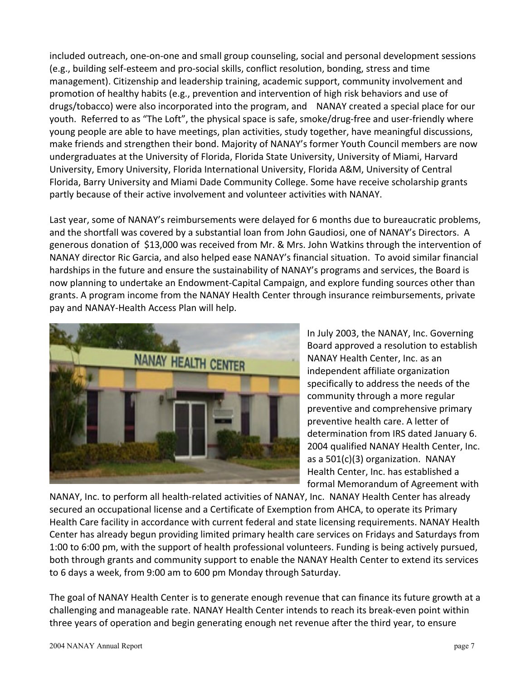included outreach, one-on-one and small group counseling, social and personal development sessions (e.g., building self-esteem and pro-social skills, conflict resolution, bonding, stress and time management). Citizenship and leadership training, academic support, community involvement and promotion of healthy habits (e.g., prevention and intervention of high risk behaviors and use of drugs/tobacco) were also incorporated into the program, and NANAY created a special place for our youth. Referred to as "The Loft", the physical space is safe, smoke/drug-free and user-friendly where young people are able to have meetings, plan activities, study together, have meaningful discussions, make friends and strengthen their bond. Majority of NANAY's former Youth Council members are now undergraduates at the University of Florida, Florida State University, University of Miami, Harvard University, Emory University, Florida International University, Florida A&M, University of Central Florida, Barry University and Miami Dade Community College. Some have receive scholarship grants partly because of their active involvement and volunteer activities with NANAY.

Last year, some of NANAY's reimbursements were delayed for 6 months due to bureaucratic problems, and the shortfall was covered by a substantial loan from John Gaudiosi, one of NANAY's Directors. A generous donation of \$13,000 was received from Mr. & Mrs. John Watkins through the intervention of NANAY director Ric Garcia, and also helped ease NANAY's financial situation. To avoid similar financial hardships in the future and ensure the sustainability of NANAY's programs and services, the Board is now planning to undertake an Endowment-Capital Campaign, and explore funding sources other than grants. A program income from the NANAY Health Center through insurance reimbursements, private pay and NANAY-Health Access Plan will help.



In July 2003, the NANAY, Inc. Governing Board approved a resolution to establish NANAY Health Center, Inc. as an independent affiliate organization specifically to address the needs of the community through a more regular preventive and comprehensive primary preventive health care. A letter of determination from IRS dated January 6. 2004 qualified NANAY Health Center, Inc. as a 501(c)(3) organization. NANAY Health Center, Inc. has established a formal Memorandum of Agreement with

NANAY, Inc. to perform all health-related activities of NANAY, Inc. NANAY Health Center has already secured an occupational license and a Certificate of Exemption from AHCA, to operate its Primary Health Care facility in accordance with current federal and state licensing requirements. NANAY Health Center has already begun providing limited primary health care services on Fridays and Saturdays from 1:00 to 6:00 pm, with the support of health professional volunteers. Funding is being actively pursued, both through grants and community support to enable the NANAY Health Center to extend its services to 6 days a week, from 9:00 am to 600 pm Monday through Saturday.

The goal of NANAY Health Center is to generate enough revenue that can finance its future growth at a challenging and manageable rate. NANAY Health Center intends to reach its break-even point within three years of operation and begin generating enough net revenue after the third year, to ensure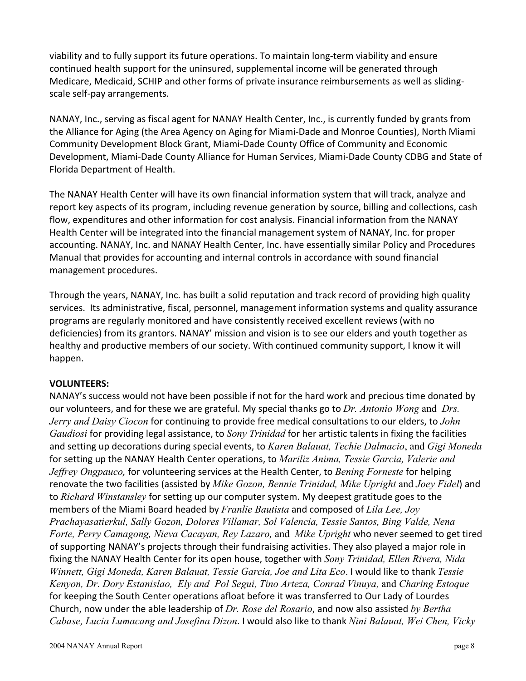viability and to fully support its future operations. To maintain long-term viability and ensure continued health support for the uninsured, supplemental income will be generated through Medicare, Medicaid, SCHIP and other forms of private insurance reimbursements as well as slidingscale self-pay arrangements.

NANAY, Inc., serving as fiscal agent for NANAY Health Center, Inc., is currently funded by grants from the Alliance for Aging (the Area Agency on Aging for Miami-Dade and Monroe Counties), North Miami Community Development Block Grant, Miami-Dade County Office of Community and Economic Development, Miami-Dade County Alliance for Human Services, Miami-Dade County CDBG and State of Florida Department of Health.

The NANAY Health Center will have its own financial information system that will track, analyze and report key aspects of its program, including revenue generation by source, billing and collections, cash flow, expenditures and other information for cost analysis. Financial information from the NANAY Health Center will be integrated into the financial management system of NANAY, Inc. for proper accounting. NANAY, Inc. and NANAY Health Center, Inc. have essentially similar Policy and Procedures Manual that provides for accounting and internal controls in accordance with sound financial management procedures.

Through the years, NANAY, Inc. has built a solid reputation and track record of providing high quality services. Its administrative, fiscal, personnel, management information systems and quality assurance programs are regularly monitored and have consistently received excellent reviews (with no deficiencies) from its grantors. NANAY' mission and vision is to see our elders and youth together as healthy and productive members of our society. With continued community support, I know it will happen.

# **VOLUNTEERS:**

NANAY's success would not have been possible if not for the hard work and precious time donated by our volunteers, and for these we are grateful. My special thanks go to *Dr. Antonio Wong* and *Drs. Jerry and Daisy Ciocon* for continuing to provide free medical consultations to our elders, to *John Gaudiosi* for providing legal assistance, to *Sony Trinidad* for her artistic talents in fixing the facilities and setting up decorations during special events, to *Karen Balauat, Techie Dalmacio*, and *Gigi Moneda* for setting up the NANAY Health Center operations, to *Mariliz Anima, Tessie Garcia, Valerie and Jeffrey Ongpauco,* for volunteering services at the Health Center, to *Bening Forneste* for helping renovate the two facilities (assisted by *Mike Gozon, Bennie Trinidad, Mike Upright* and *Joey Fidel*) and to *Richard Winstansley* for setting up our computer system. My deepest gratitude goes to the members of the Miami Board headed by *Franlie Bautista* and composed of *Lila Lee, Joy Prachayasatierkul, Sally Gozon, Dolores Villamar, Sol Valencia, Tessie Santos, Bing Valde, Nena Forte, Perry Camagong, Nieva Cacayan, Rey Lazaro,* and *Mike Upright* who never seemed to get tired of supporting NANAY's projects through their fundraising activities. They also played a major role in fixing the NANAY Health Center for its open house, together with *Sony Trinidad, Ellen Rivera, Nida Winnett, Gigi Moneda, Karen Balauat, Tessie Garcia, Joe and Lita Eco*. I would like to thank *Tessie Kenyon, Dr. Dory Estanislao, Ely and Pol Segui, Tino Arteza, Conrad Vinuya,* and *Charing Estoque* for keeping the South Center operations afloat before it was transferred to Our Lady of Lourdes Church, now under the able leadership of *Dr. Rose del Rosario*, and now also assisted *by Bertha Cabase, Lucia Lumacang and Josefina Dizon*. I would also like to thank *Nini Balauat, Wei Chen, Vicky*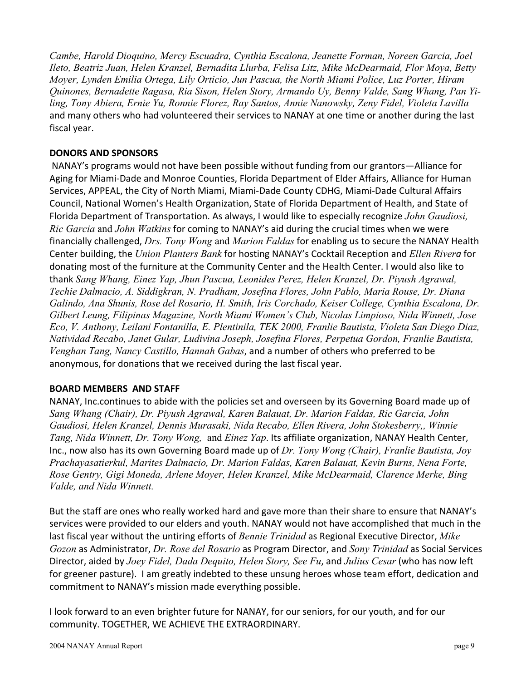*Cambe, Harold Dioquino, Mercy Escuadra, Cynthia Escalona, Jeanette Forman, Noreen Garcia, Joel Ileto, Beatriz Juan, Helen Kranzel, Bernadita Llurba, Felisa Litz, Mike McDearmaid, Flor Moya, Betty Moyer, Lynden Emilia Ortega, Lily Orticio, Jun Pascua, the North Miami Police, Luz Porter, Hiram Quinones, Bernadette Ragasa, Ria Sison, Helen Story, Armando Uy, Benny Valde, Sang Whang, Pan Yiling, Tony Abiera, Ernie Yu, Ronnie Florez, Ray Santos, Annie Nanowsky, Zeny Fidel, Violeta Lavilla* and many others who had volunteered their services to NANAY at one time or another during the last fiscal year.

### **DONORS AND SPONSORS**

NANAY's programs would not have been possible without funding from our grantors—Alliance for Aging for Miami-Dade and Monroe Counties, Florida Department of Elder Affairs, Alliance for Human Services, APPEAL, the City of North Miami, Miami-Dade County CDHG, Miami-Dade Cultural Affairs Council, National Women's Health Organization, State of Florida Department of Health, and State of Florida Department of Transportation. As always, I would like to especially recognize *John Gaudiosi, Ric Garcia* and *John Watkins* for coming to NANAY's aid during the crucial times when we were financially challenged, *Drs. Tony Wong* and *Marion Faldas* for enabling us to secure the NANAY Health Center building, the *Union Planters Bank* for hosting NANAY's Cocktail Reception and *Ellen Rivera* for donating most of the furniture at the Community Center and the Health Center. I would also like to thank *Sang Whang, Einez Yap, Jhun Pascua, Leonides Perez, Helen Kranzel, Dr. Piyush Agrawal, Techie Dalmacio, A. Siddigkran, N. Pradham, Josefina Flores, John Pablo, Maria Rouse, Dr. Diana Galindo, Ana Shunis, Rose del Rosario, H. Smith, Iris Corchado, Keiser College, Cynthia Escalona, Dr. Gilbert Leung, Filipinas Magazine, North Miami Women's Club, Nicolas Limpioso, Nida Winnett, Jose Eco, V. Anthony, Leilani Fontanilla, E. Plentinila, TEK 2000, Franlie Bautista, Violeta San Diego Diaz, Natividad Recabo, Janet Gular, Ludivina Joseph, Josefina Flores, Perpetua Gordon, Franlie Bautista, Venghan Tang, Nancy Castillo, Hannah Gabas*, and a number of others who preferred to be anonymous, for donations that we received during the last fiscal year.

#### **BOARD MEMBERS AND STAFF**

NANAY, Inc.continues to abide with the policies set and overseen by its Governing Board made up of *Sang Whang (Chair), Dr. Piyush Agrawal, Karen Balauat, Dr. Marion Faldas, Ric Garcia, John Gaudiosi, Helen Kranzel, Dennis Murasaki, Nida Recabo, Ellen Rivera, John Stokesberry,, Winnie Tang, Nida Winnett, Dr. Tony Wong,* and *Einez Yap*. Its affiliate organization, NANAY Health Center, Inc., now also has its own Governing Board made up of *Dr. Tony Wong (Chair), Franlie Bautista, Joy Prachayasatierkul, Marites Dalmacio, Dr. Marion Faldas, Karen Balauat, Kevin Burns, Nena Forte, Rose Gentry, Gigi Moneda, Arlene Moyer, Helen Kranzel, Mike McDearmaid, Clarence Merke, Bing Valde, and Nida Winnett.*

But the staff are ones who really worked hard and gave more than their share to ensure that NANAY's services were provided to our elders and youth. NANAY would not have accomplished that much in the last fiscal year without the untiring efforts of *Bennie Trinidad* as Regional Executive Director, *Mike Gozon* as Administrator, *Dr. Rose del Rosario* as Program Director, and *Sony Trinidad* as Social Services Director, aided by *Joey Fidel, Dada Dequito, Helen Story, See Fu*, and *Julius Cesar* (who has now left for greener pasture). I am greatly indebted to these unsung heroes whose team effort, dedication and commitment to NANAY's mission made everything possible.

I look forward to an even brighter future for NANAY, for our seniors, for our youth, and for our community. TOGETHER, WE ACHIEVE THE EXTRAORDINARY.